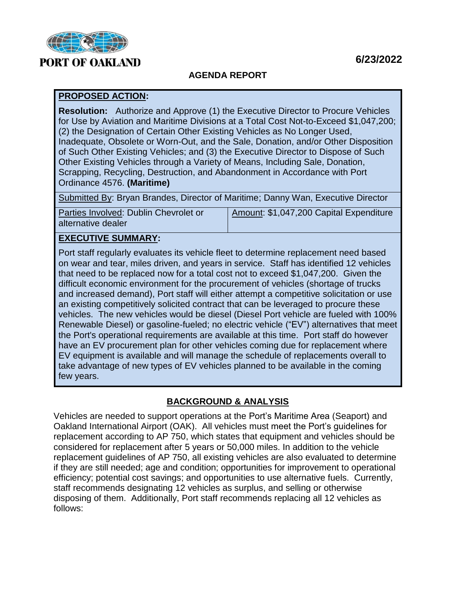

### **6/23/2022**

#### **AGENDA REPORT**

#### **PROPOSED ACTION:**

**Resolution:** Authorize and Approve (1) the Executive Director to Procure Vehicles for Use by Aviation and Maritime Divisions at a Total Cost Not-to-Exceed \$1,047,200; (2) the Designation of Certain Other Existing Vehicles as No Longer Used, Inadequate, Obsolete or Worn-Out, and the Sale, Donation, and/or Other Disposition of Such Other Existing Vehicles; and (3) the Executive Director to Dispose of Such Other Existing Vehicles through a Variety of Means, Including Sale, Donation, Scrapping, Recycling, Destruction, and Abandonment in Accordance with Port Ordinance 4576. **(Maritime)**

Submitted By: Bryan Brandes, Director of Maritime; Danny Wan, Executive Director

Parties Involved: Dublin Chevrolet or alternative dealer Amount: \$1,047,200 Capital Expenditure

## **EXECUTIVE SUMMARY:**

Port staff regularly evaluates its vehicle fleet to determine replacement need based on wear and tear, miles driven, and years in service. Staff has identified 12 vehicles that need to be replaced now for a total cost not to exceed \$1,047,200. Given the difficult economic environment for the procurement of vehicles (shortage of trucks and increased demand), Port staff will either attempt a competitive solicitation or use an existing competitively solicited contract that can be leveraged to procure these vehicles. The new vehicles would be diesel (Diesel Port vehicle are fueled with 100% Renewable Diesel) or gasoline-fueled; no electric vehicle ("EV") alternatives that meet the Port's operational requirements are available at this time. Port staff do however have an EV procurement plan for other vehicles coming due for replacement where EV equipment is available and will manage the schedule of replacements overall to take advantage of new types of EV vehicles planned to be available in the coming few years.

#### **BACKGROUND & ANALYSIS**

Vehicles are needed to support operations at the Port's Maritime Area (Seaport) and Oakland International Airport (OAK). All vehicles must meet the Port's guidelines for replacement according to AP 750, which states that equipment and vehicles should be considered for replacement after 5 years or 50,000 miles. In addition to the vehicle replacement guidelines of AP 750, all existing vehicles are also evaluated to determine if they are still needed; age and condition; opportunities for improvement to operational efficiency; potential cost savings; and opportunities to use alternative fuels. Currently, staff recommends designating 12 vehicles as surplus, and selling or otherwise disposing of them. Additionally, Port staff recommends replacing all 12 vehicles as follows: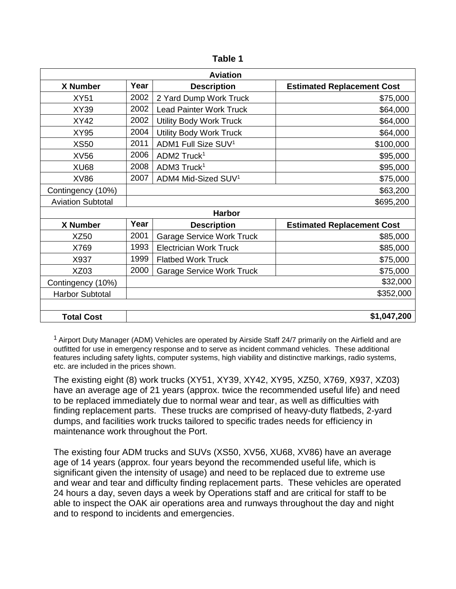| đU |  |
|----|--|
|----|--|

| <b>Aviation</b>          |      |                                  |                                   |  |
|--------------------------|------|----------------------------------|-----------------------------------|--|
| X Number                 | Year | <b>Description</b>               | <b>Estimated Replacement Cost</b> |  |
| <b>XY51</b>              | 2002 | 2 Yard Dump Work Truck           | \$75,000                          |  |
| XY39                     | 2002 | <b>Lead Painter Work Truck</b>   | \$64,000                          |  |
| <b>XY42</b>              | 2002 | <b>Utility Body Work Truck</b>   | \$64,000                          |  |
| <b>XY95</b>              | 2004 | <b>Utility Body Work Truck</b>   | \$64,000                          |  |
| <b>XS50</b>              | 2011 | ADM1 Full Size SUV <sup>1</sup>  | \$100,000                         |  |
| <b>XV56</b>              | 2006 | ADM2 Truck <sup>1</sup>          | \$95,000                          |  |
| <b>XU68</b>              | 2008 | ADM3 Truck <sup>1</sup>          | \$95,000                          |  |
| XV86                     | 2007 | ADM4 Mid-Sized SUV <sup>1</sup>  | \$75,000                          |  |
| Contingency (10%)        |      |                                  | \$63,200                          |  |
| <b>Aviation Subtotal</b> |      |                                  | \$695,200                         |  |
| <b>Harbor</b>            |      |                                  |                                   |  |
| X Number                 | Year | <b>Description</b>               | <b>Estimated Replacement Cost</b> |  |
| <b>XZ50</b>              | 2001 | <b>Garage Service Work Truck</b> | \$85,000                          |  |
| X769                     | 1993 | <b>Electrician Work Truck</b>    | \$85,000                          |  |
| X937                     | 1999 | <b>Flatbed Work Truck</b>        | \$75,000                          |  |
| <b>XZ03</b>              | 2000 | <b>Garage Service Work Truck</b> | \$75,000                          |  |
| Contingency (10%)        |      |                                  | \$32,000                          |  |
| <b>Harbor Subtotal</b>   |      |                                  | \$352,000                         |  |
|                          |      |                                  |                                   |  |
| <b>Total Cost</b>        |      |                                  | \$1,047,200                       |  |

<sup>1</sup> Airport Duty Manager (ADM) Vehicles are operated by Airside Staff 24/7 primarily on the Airfield and are outfitted for use in emergency response and to serve as incident command vehicles. These additional features including safety lights, computer systems, high viability and distinctive markings, radio systems, etc. are included in the prices shown.

The existing eight (8) work trucks (XY51, XY39, XY42, XY95, XZ50, X769, X937, XZ03) have an average age of 21 years (approx. twice the recommended useful life) and need to be replaced immediately due to normal wear and tear, as well as difficulties with finding replacement parts. These trucks are comprised of heavy-duty flatbeds, 2-yard dumps, and facilities work trucks tailored to specific trades needs for efficiency in maintenance work throughout the Port.

The existing four ADM trucks and SUVs (XS50, XV56, XU68, XV86) have an average age of 14 years (approx. four years beyond the recommended useful life, which is significant given the intensity of usage) and need to be replaced due to extreme use and wear and tear and difficulty finding replacement parts. These vehicles are operated 24 hours a day, seven days a week by Operations staff and are critical for staff to be able to inspect the OAK air operations area and runways throughout the day and night and to respond to incidents and emergencies.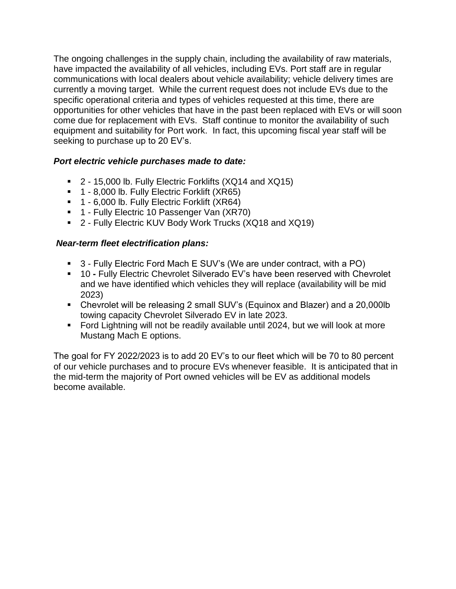The ongoing challenges in the supply chain, including the availability of raw materials, have impacted the availability of all vehicles, including EVs. Port staff are in regular communications with local dealers about vehicle availability; vehicle delivery times are currently a moving target. While the current request does not include EVs due to the specific operational criteria and types of vehicles requested at this time, there are opportunities for other vehicles that have in the past been replaced with EVs or will soon come due for replacement with EVs. Staff continue to monitor the availability of such equipment and suitability for Port work. In fact, this upcoming fiscal year staff will be seeking to purchase up to 20 EV's.

## *Port electric vehicle purchases made to date:*

- 2 15,000 lb. Fully Electric Forklifts (XQ14 and XQ15)
- 1 8,000 lb. Fully Electric Forklift (XR65)
- <sup>1</sup> 1 6,000 lb. Fully Electric Forklift (XR64)
- 1 Fully Electric 10 Passenger Van (XR70)
- 2 Fully Electric KUV Body Work Trucks (XQ18 and XQ19)

## *Near-term fleet electrification plans:*

- 3 Fully Electric Ford Mach E SUV's (We are under contract, with a PO)
- 10 **-** Fully Electric Chevrolet Silverado EV's have been reserved with Chevrolet and we have identified which vehicles they will replace (availability will be mid 2023)
- Chevrolet will be releasing 2 small SUV's (Equinox and Blazer) and a 20,000lb towing capacity Chevrolet Silverado EV in late 2023.
- Ford Lightning will not be readily available until 2024, but we will look at more Mustang Mach E options.

The goal for FY 2022/2023 is to add 20 EV's to our fleet which will be 70 to 80 percent of our vehicle purchases and to procure EVs whenever feasible. It is anticipated that in the mid-term the majority of Port owned vehicles will be EV as additional models become available.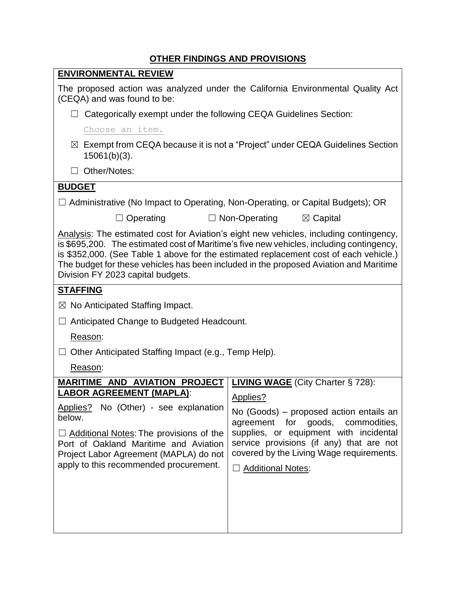# **OTHER FINDINGS AND PROVISIONS**

|                                                                                                                                                                                                                                                                                                                                                                                                           | <u> 8 MERT INDINOS AND E ROTIGIONO</u>                                                                                                                                                                                                                                                        |  |  |  |
|-----------------------------------------------------------------------------------------------------------------------------------------------------------------------------------------------------------------------------------------------------------------------------------------------------------------------------------------------------------------------------------------------------------|-----------------------------------------------------------------------------------------------------------------------------------------------------------------------------------------------------------------------------------------------------------------------------------------------|--|--|--|
| <b>ENVIRONMENTAL REVIEW</b>                                                                                                                                                                                                                                                                                                                                                                               |                                                                                                                                                                                                                                                                                               |  |  |  |
| The proposed action was analyzed under the California Environmental Quality Act<br>(CEQA) and was found to be:                                                                                                                                                                                                                                                                                            |                                                                                                                                                                                                                                                                                               |  |  |  |
| Categorically exempt under the following CEQA Guidelines Section:                                                                                                                                                                                                                                                                                                                                         |                                                                                                                                                                                                                                                                                               |  |  |  |
| Choose an item.                                                                                                                                                                                                                                                                                                                                                                                           |                                                                                                                                                                                                                                                                                               |  |  |  |
| $\boxtimes$ Exempt from CEQA because it is not a "Project" under CEQA Guidelines Section<br>$15061(b)(3)$ .                                                                                                                                                                                                                                                                                               |                                                                                                                                                                                                                                                                                               |  |  |  |
| Other/Notes:<br>П                                                                                                                                                                                                                                                                                                                                                                                         |                                                                                                                                                                                                                                                                                               |  |  |  |
| <b>BUDGET</b>                                                                                                                                                                                                                                                                                                                                                                                             |                                                                                                                                                                                                                                                                                               |  |  |  |
| $\Box$ Administrative (No Impact to Operating, Non-Operating, or Capital Budgets); OR                                                                                                                                                                                                                                                                                                                     |                                                                                                                                                                                                                                                                                               |  |  |  |
| $\Box$ Operating                                                                                                                                                                                                                                                                                                                                                                                          | $\boxtimes$ Capital<br>$\Box$ Non-Operating                                                                                                                                                                                                                                                   |  |  |  |
| Analysis: The estimated cost for Aviation's eight new vehicles, including contingency,<br>is \$695,200. The estimated cost of Maritime's five new vehicles, including contingency,<br>is \$352,000. (See Table 1 above for the estimated replacement cost of each vehicle.)<br>The budget for these vehicles has been included in the proposed Aviation and Maritime<br>Division FY 2023 capital budgets. |                                                                                                                                                                                                                                                                                               |  |  |  |
| <b>STAFFING</b>                                                                                                                                                                                                                                                                                                                                                                                           |                                                                                                                                                                                                                                                                                               |  |  |  |
| $\boxtimes$ No Anticipated Staffing Impact.                                                                                                                                                                                                                                                                                                                                                               |                                                                                                                                                                                                                                                                                               |  |  |  |
| Anticipated Change to Budgeted Headcount.                                                                                                                                                                                                                                                                                                                                                                 |                                                                                                                                                                                                                                                                                               |  |  |  |
| Reason:                                                                                                                                                                                                                                                                                                                                                                                                   |                                                                                                                                                                                                                                                                                               |  |  |  |
| Other Anticipated Staffing Impact (e.g., Temp Help).                                                                                                                                                                                                                                                                                                                                                      |                                                                                                                                                                                                                                                                                               |  |  |  |
| Reason:                                                                                                                                                                                                                                                                                                                                                                                                   |                                                                                                                                                                                                                                                                                               |  |  |  |
| <b>MARITIME AND AVIATION PROJECT</b><br><b>LABOR AGREEMENT (MAPLA):</b><br>Applies? No (Other) - see explanation<br>below.<br>$\Box$ Additional Notes: The provisions of the<br>Port of Oakland Maritime and Aviation<br>Project Labor Agreement (MAPLA) do not<br>apply to this recommended procurement.                                                                                                 | <b>LIVING WAGE</b> (City Charter § 728):<br>Applies?<br>No (Goods) – proposed action entails an<br>agreement for goods, commodities,<br>supplies, or equipment with incidental<br>service provisions (if any) that are not<br>covered by the Living Wage requirements.<br>□ Additional Notes: |  |  |  |